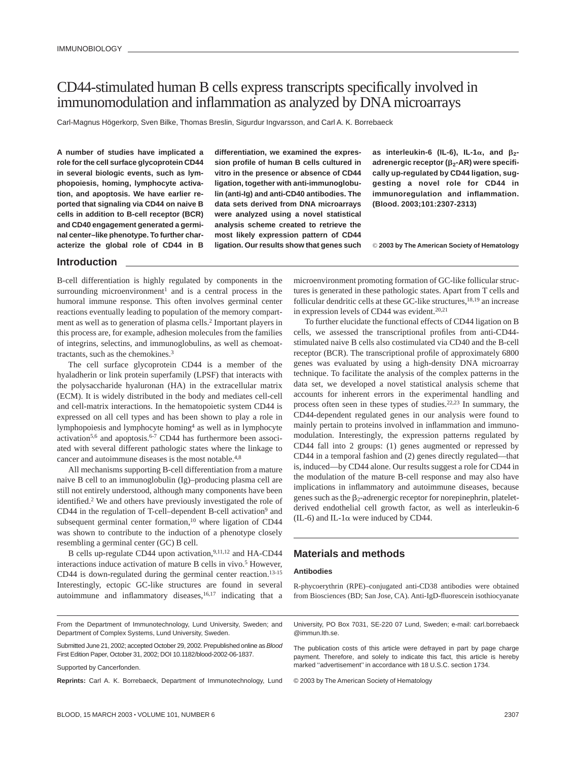# CD44-stimulated human B cells express transcripts specifically involved in immunomodulation and inflammation as analyzed by DNA microarrays

Carl-Magnus Högerkorp, Sven Bilke, Thomas Breslin, Sigurdur Ingvarsson, and Carl A. K. Borrebaeck

**A number of studies have implicated a role for the cell surface glycoprotein CD44 in several biologic events, such as lymphopoiesis, homing, lymphocyte activation, and apoptosis. We have earlier reported that signaling via CD44 on naive B cells in addition to B-cell receptor (BCR) and CD40 engagement generated a germinal center–like phenotype. To further characterize the global role of CD44 in B** **differentiation, we examined the expression profile of human B cells cultured in vitro in the presence or absence of CD44 ligation, together with anti-immunoglobulin (anti-Ig) and anti-CD40 antibodies. The data sets derived from DNA microarrays were analyzed using a novel statistical analysis scheme created to retrieve the most likely expression pattern of CD44 ligation. Our results show that genes such**

as interleukin-6 (IL-6), IL-1 $\alpha$ , and  $\beta_2$ adrenergic receptor (β<sub>2</sub>-AR) were specifi**cally up-regulated by CD44 ligation, suggesting a novel role for CD44 in immunoregulation and inflammation. (Blood. 2003;101:2307-2313)**

© **2003 by The American Society of Hematology**

## **Introduction**

B-cell differentiation is highly regulated by components in the surrounding microenvironment<sup>1</sup> and is a central process in the humoral immune response. This often involves germinal center reactions eventually leading to population of the memory compartment as well as to generation of plasma cells.2 Important players in this process are, for example, adhesion molecules from the families of integrins, selectins, and immunoglobulins, as well as chemoattractants, such as the chemokines.3

The cell surface glycoprotein CD44 is a member of the hyaladherin or link protein superfamily (LPSF) that interacts with the polysaccharide hyaluronan (HA) in the extracellular matrix (ECM). It is widely distributed in the body and mediates cell-cell and cell-matrix interactions. In the hematopoietic system CD44 is expressed on all cell types and has been shown to play a role in lymphopoiesis and lymphocyte homing4 as well as in lymphocyte activation<sup>5,6</sup> and apoptosis.<sup>6-7</sup> CD44 has furthermore been associated with several different pathologic states where the linkage to cancer and autoimmune diseases is the most notable.<sup>4,8</sup>

All mechanisms supporting B-cell differentiation from a mature naive B cell to an immunoglobulin (Ig)–producing plasma cell are still not entirely understood, although many components have been identified.2 We and others have previously investigated the role of CD44 in the regulation of T-cell–dependent B-cell activation<sup>9</sup> and subsequent germinal center formation,<sup>10</sup> where ligation of CD44 was shown to contribute to the induction of a phenotype closely resembling a germinal center (GC) B cell.

B cells up-regulate CD44 upon activation,<sup>9,11,12</sup> and HA-CD44 interactions induce activation of mature B cells in vivo.<sup>5</sup> However, CD44 is down-regulated during the germinal center reaction.<sup>13-15</sup> Interestingly, ectopic GC-like structures are found in several autoimmune and inflammatory diseases,<sup>16,17</sup> indicating that a microenvironment promoting formation of GC-like follicular structures is generated in these pathologic states. Apart from T cells and follicular dendritic cells at these GC-like structures, $18,19$  an increase in expression levels of CD44 was evident.20,21

To further elucidate the functional effects of CD44 ligation on B cells, we assessed the transcriptional profiles from anti-CD44 stimulated naive B cells also costimulated via CD40 and the B-cell receptor (BCR). The transcriptional profile of approximately 6800 genes was evaluated by using a high-density DNA microarray technique. To facilitate the analysis of the complex patterns in the data set, we developed a novel statistical analysis scheme that accounts for inherent errors in the experimental handling and process often seen in these types of studies.22,23 In summary, the CD44-dependent regulated genes in our analysis were found to mainly pertain to proteins involved in inflammation and immunomodulation. Interestingly, the expression patterns regulated by CD44 fall into 2 groups: (1) genes augmented or repressed by CD44 in a temporal fashion and (2) genes directly regulated—that is, induced—by CD44 alone. Our results suggest a role for CD44 in the modulation of the mature B-cell response and may also have implications in inflammatory and autoimmune diseases, because genes such as the  $\beta_2$ -adrenergic receptor for norepinephrin, plateletderived endothelial cell growth factor, as well as interleukin-6  $(IL-6)$  and IL-1 $\alpha$  were induced by CD44.

# **Materials and methods**

#### **Antibodies**

R-phycoerythrin (RPE)–conjugated anti-CD38 antibodies were obtained from Biosciences (BD; San Jose, CA). Anti-IgD-fluorescein isothiocyanate

From the Department of Immunotechnology, Lund University, Sweden; and Department of Complex Systems, Lund University, Sweden.

Submitted June 21, 2002; accepted October 29, 2002. Prepublished online as Blood First Edition Paper, October 31, 2002; DOI 10.1182/blood-2002-06-1837.

Supported by Cancerfonden.

**Reprints:** Carl A. K. Borrebaeck, Department of Immunotechnology, Lund

BLOOD, 15 MARCH 2003 VOLUME 101, NUMBER 6 <sup>2307</sup>

University, PO Box 7031, SE-220 07 Lund, Sweden; e-mail: carl.borrebaeck @immun.lth.se.

The publication costs of this article were defrayed in part by page charge payment. Therefore, and solely to indicate this fact, this article is hereby marked "advertisement" in accordance with 18 U.S.C. section 1734.

© 2003 by The American Society of Hematology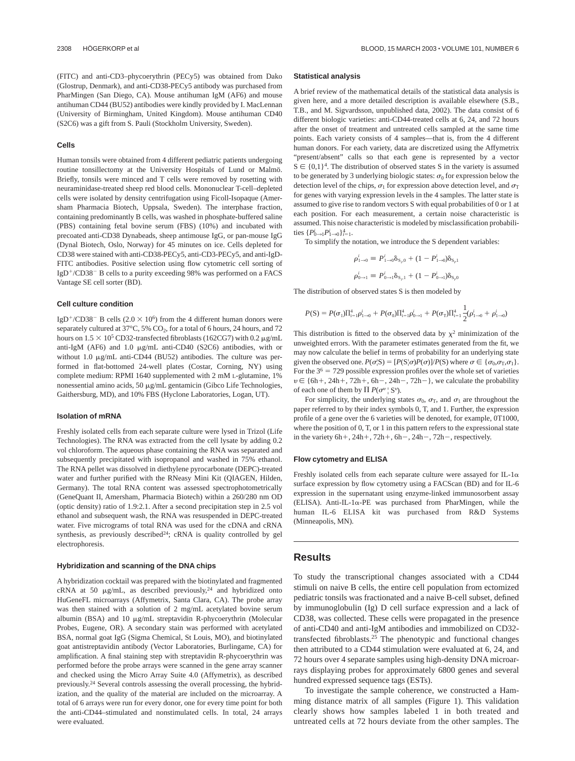(FITC) and anti-CD3–phycoerythrin (PECy5) was obtained from Dako (Glostrup, Denmark), and anti-CD38-PECy5 antibody was purchased from PharMingen (San Diego, CA). Mouse antihuman IgM (AF6) and mouse antihuman CD44 (BU52) antibodies were kindly provided by I. MacLennan (University of Birmingham, United Kingdom). Mouse antihuman CD40 (S2C6) was a gift from S. Pauli (Stockholm University, Sweden).

#### **Cells**

Human tonsils were obtained from 4 different pediatric patients undergoing routine tonsillectomy at the University Hospitals of Lund or Malmö. Briefly, tonsils were minced and T cells were removed by rosetting with neuraminidase-treated sheep red blood cells. Mononuclear T-cell–depleted cells were isolated by density centrifugation using Ficoll-Isopaque (Amersham Pharmacia Biotech, Uppsala, Sweden). The interphase fraction, containing predominantly B cells, was washed in phosphate-buffered saline (PBS) containing fetal bovine serum (FBS) (10%) and incubated with precoated anti-CD38 Dynabeads, sheep antimouse IgG, or pan-mouse IgG (Dynal Biotech, Oslo, Norway) for 45 minutes on ice. Cells depleted for CD38 were stained with anti-CD38-PECy5, anti-CD3-PECy5, and anti-IgD-FITC antibodies. Positive selection using flow cytometric cell sorting of IgD<sup>+</sup>/CD38<sup>-</sup> B cells to a purity exceeding 98% was performed on a FACS Vantage SE cell sorter (BD).

#### **Cell culture condition**

IgD<sup>+</sup>/CD38<sup>-</sup> B cells (2.0  $\times$  10<sup>6</sup>) from the 4 different human donors were separately cultured at  $37^{\circ}$ C, 5% CO<sub>2</sub>, for a total of 6 hours, 24 hours, and 72 hours on  $1.5 \times 10^5$  CD32-transfected fibroblasts (162CG7) with 0.2  $\mu$ g/mL anti-IgM (AF6) and 1.0  $\mu$ g/mL anti-CD40 (S2C6) antibodies, with or without 1.0  $\mu$ g/mL anti-CD44 (BU52) antibodies. The culture was performed in flat-bottomed 24-well plates (Costar, Corning, NY) using complete medium: RPMI 1640 supplemented with 2 mM L-glutamine, 1% nonessential amino acids, 50  $\mu$ g/mL gentamicin (Gibco Life Technologies, Gaithersburg, MD), and 10% FBS (Hyclone Laboratories, Logan, UT).

#### **Isolation of mRNA**

Freshly isolated cells from each separate culture were lysed in Trizol (Life Technologies). The RNA was extracted from the cell lysate by adding 0.2 vol chloroform. The aqueous phase containing the RNA was separated and subsequently precipitated with isopropanol and washed in 75% ethanol. The RNA pellet was dissolved in diethylene pyrocarbonate (DEPC)-treated water and further purified with the RNeasy Mini Kit (QIAGEN, Hilden, Germany). The total RNA content was assessed spectrophotometrically (GeneQuant II, Amersham, Pharmacia Biotech) within a 260/280 nm OD (optic density) ratio of 1.9:2.1. After a second precipitation step in 2.5 vol ethanol and subsequent wash, the RNA was resuspended in DEPC-treated water. Five micrograms of total RNA was used for the cDNA and cRNA synthesis, as previously described<sup>24</sup>; cRNA is quality controlled by gel electrophoresis.

#### **Hybridization and scanning of the DNA chips**

A hybridization cocktail was prepared with the biotinylated and fragmented cRNA at 50  $\mu$ g/mL, as described previously,<sup>24</sup> and hybridized onto HuGeneFL microarrays (Affymetrix, Santa Clara, CA). The probe array was then stained with a solution of 2 mg/mL acetylated bovine serum albumin (BSA) and 10  $\mu$ g/mL streptavidin R-phycoerythrin (Molecular Probes, Eugene, OR). A secondary stain was performed with acetylated BSA, normal goat IgG (Sigma Chemical, St Louis, MO), and biotinylated goat antistreptavidin antibody (Vector Laboratories, Burlingame, CA) for amplification. A final staining step with streptavidin R-phycoerythrin was performed before the probe arrays were scanned in the gene array scanner and checked using the Micro Array Suite 4.0 (Affymetrix), as described previously.24 Several controls assessing the overall processing, the hybridization, and the quality of the material are included on the microarray. A total of 6 arrays were run for every donor, one for every time point for both the anti-CD44–stimulated and nonstimulated cells. In total, 24 arrays were evaluated.

#### **Statistical analysis**

A brief review of the mathematical details of the statistical data analysis is given here, and a more detailed description is available elsewhere (S.B., T.B., and M. Sigvardsson, unpublished data, 2002). The data consist of 6 different biologic varieties: anti-CD44-treated cells at 6, 24, and 72 hours after the onset of treatment and untreated cells sampled at the same time points. Each variety consists of 4 samples—that is, from the 4 different human donors. For each variety, data are discretized using the Affymetrix "present/absent" calls so that each gene is represented by a vector  $S \in \{0,1\}^4$ . The distribution of observed states S in the variety is assumed to be generated by 3 underlying biologic states:  $\sigma_0$  for expression below the detection level of the chips,  $\sigma_1$  for expression above detection level, and  $\sigma_T$ for genes with varying expression levels in the 4 samples. The latter state is assumed to give rise to random vectors S with equal probabilities of 0 or 1 at each position. For each measurement, a certain noise characteristic is assumed. This noise characteristic is modeled by misclassification probabilities  $\{P_{0\to 1}^i P_{1\to 0}^i\}_{i=1}^4$ .

To simplify the notation, we introduce the S dependent variables:

$$
\rho_{1\to 0}^i \equiv P_{1\to 0}^i \delta_{S_i,0} + (1 - P_{1\to 0}^i) \delta_{S_i,1}
$$
  

$$
\rho_{0\to 1}^i \equiv P_{0\to 1}^i \delta_{S_i,1} + (1 - P_{0\to 1}^i) \delta_{S_i,0}
$$

The distribution of observed states S is then modeled by

$$
P(S) = P(\sigma_1)\Pi_{i=1}^4 \rho_{1\to 0}^i + P(\sigma_0)\Pi_{i=1}^4 \rho_{0\to 1}^i + P(\sigma_T)\Pi_{i=1}^4 \frac{1}{2}(\rho_{1\to 0}^i + \rho_{1\to 0}^i)
$$

This distribution is fitted to the observed data by  $\chi^2$  minimization of the unweighted errors. With the parameter estimates generated from the fit, we may now calculate the belief in terms of probability for an underlying state given the observed one.  $P(\sigma | S) = [P(S | \sigma)P(\sigma)]/P(S)$  where  $\sigma \in {\sigma_0, \sigma_{T}, \sigma_1}.$ For the  $3<sup>6</sup> = 729$  possible expression profiles over the whole set of varieties  $v \in \{6h+, 24h+, 72h+, 6h-, 24h-, 72h-\}$ , we calculate the probability of each one of them by  $\Pi P(\sigma^v | S^v)$ .

For simplicity, the underlying states  $\sigma_0$ ,  $\sigma_T$ , and  $\sigma_1$  are throughout the paper referred to by their index symbols 0, T, and 1. Further, the expression profile of a gene over the 6 varieties will be denoted, for example, 0T1000, where the position of 0, T, or 1 in this pattern refers to the expressional state in the variety  $6h+$ ,  $24h+$ ,  $72h+$ ,  $6h-$ ,  $24h-$ ,  $72h-$ , respectively.

#### **Flow cytometry and ELISA**

Freshly isolated cells from each separate culture were assayed for IL-1 $\alpha$ surface expression by flow cytometry using a FACScan (BD) and for IL-6 expression in the supernatant using enzyme-linked immunosorbent assay  $(ELISA)$ . Anti-IL-1 $\alpha$ -PE was purchased from PharMingen, while the human IL-6 ELISA kit was purchased from R&D Systems (Minneapolis, MN).

# **Results**

To study the transcriptional changes associated with a CD44 stimuli on naive B cells, the entire cell population from ectomized pediatric tonsils was fractionated and a naive B-cell subset, defined by immunoglobulin (Ig) D cell surface expression and a lack of CD38, was collected. These cells were propagated in the presence of anti-CD40 and anti-IgM antibodies and immobilized on CD32 transfected fibroblasts.25 The phenotypic and functional changes then attributed to a CD44 stimulation were evaluated at 6, 24, and 72 hours over 4 separate samples using high-density DNA microarrays displaying probes for approximately 6800 genes and several hundred expressed sequence tags (ESTs).

To investigate the sample coherence, we constructed a Hamming distance matrix of all samples (Figure 1). This validation clearly shows how samples labeled 1 in both treated and untreated cells at 72 hours deviate from the other samples. The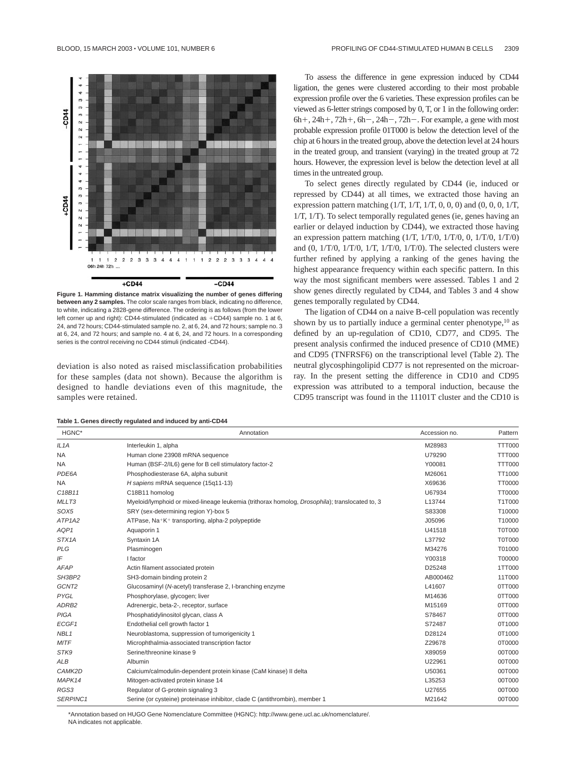

**Figure 1. Hamming distance matrix visualizing the number of genes differing between any 2 samples.** The color scale ranges from black, indicating no difference, to white, indicating a 2828-gene difference. The ordering is as follows (from the lower left corner up and right): CD44-stimulated (indicated as  $+CD44$ ) sample no. 1 at 6, 24, and 72 hours; CD44-stimulated sample no. 2, at 6, 24, and 72 hours; sample no. 3 at 6, 24, and 72 hours; and sample no. 4 at 6, 24, and 72 hours. In a corresponding series is the control receiving no CD44 stimuli (indicated -CD44).

deviation is also noted as raised misclassification probabilities for these samples (data not shown). Because the algorithm is designed to handle deviations even of this magnitude, the samples were retained.

**Table 1. Genes directly regulated and induced by anti-CD44**

To assess the difference in gene expression induced by CD44 ligation, the genes were clustered according to their most probable expression profile over the 6 varieties. These expression profiles can be viewed as 6-letter strings composed by 0, T, or 1 in the following order:  $6h$ +,  $24h$ +,  $72h$ +,  $6h$ -,  $24h$ -,  $72h$ -. For example, a gene with most probable expression profile 01T000 is below the detection level of the chip at 6 hours in the treated group, above the detection level at 24 hours in the treated group, and transient (varying) in the treated group at 72 hours. However, the expression level is below the detection level at all times in the untreated group.

To select genes directly regulated by CD44 (ie, induced or repressed by CD44) at all times, we extracted those having an expression pattern matching  $(1/T, 1/T, 1/T, 0, 0, 0)$  and  $(0, 0, 0, 1/T, 0, 0)$ 1/T, 1/T). To select temporally regulated genes (ie, genes having an earlier or delayed induction by CD44), we extracted those having an expression pattern matching (1/T, 1/T/0, 1/T/0, 0, 1/T/0, 1/T/0) and  $(0, 1/T/0, 1/T/0, 1/T, 1/T/0, 1/T/0)$ . The selected clusters were further refined by applying a ranking of the genes having the highest appearance frequency within each specific pattern. In this way the most significant members were assessed. Tables 1 and 2 show genes directly regulated by CD44, and Tables 3 and 4 show genes temporally regulated by CD44.

The ligation of CD44 on a naive B-cell population was recently shown by us to partially induce a germinal center phenotype,<sup>10</sup> as defined by an up-regulation of CD10, CD77, and CD95. The present analysis confirmed the induced presence of CD10 (MME) and CD95 (TNFRSF6) on the transcriptional level (Table 2). The neutral glycosphingolipid CD77 is not represented on the microarray. In the present setting the difference in CD10 and CD95 expression was attributed to a temporal induction, because the CD95 transcript was found in the 11101T cluster and the CD10 is

| HGNC*                           | Annotation                                                                                             | Accession no. | Pattern       |
|---------------------------------|--------------------------------------------------------------------------------------------------------|---------------|---------------|
| IL <sub>1</sub> A               | Interleukin 1, alpha                                                                                   | M28983        | <b>TTT000</b> |
| <b>NA</b>                       | Human clone 23908 mRNA sequence                                                                        | U79290        | <b>TTT000</b> |
| <b>NA</b>                       | Human (BSF-2/IL6) gene for B cell stimulatory factor-2                                                 | Y00081        | <b>TTT000</b> |
| PDE6A                           | Phosphodiesterase 6A, alpha subunit                                                                    | M26061        | TT1000        |
| <b>NA</b>                       | H sapiens mRNA sequence (15q11-13)                                                                     | X69636        | <b>TT0000</b> |
| C18B11                          | C18B11 homolog                                                                                         | U67934        | <b>TT0000</b> |
| MLLT3                           | Myeloid/lymphoid or mixed-lineage leukemia (trithorax homolog, <i>Drosophila</i> ); translocated to, 3 | L13744        | T1T000        |
| SOX5                            | SRY (sex-determining region Y)-box 5                                                                   | S83308        | T10000        |
| ATP <sub>1</sub> A <sub>2</sub> | ATPase, Na <sup>+</sup> K <sup>+</sup> transporting, alpha-2 polypeptide                               | J05096        | T10000        |
| AQP1                            | Aquaporin 1                                                                                            | U41518        | <b>T0T000</b> |
| STX <sub>1</sub> A              | Syntaxin 1A                                                                                            | L37792        | <b>T0T000</b> |
| <b>PLG</b>                      | Plasminogen                                                                                            | M34276        | T01000        |
| IF                              | I factor                                                                                               | Y00318        | T00000        |
| <b>AFAP</b>                     | Actin filament associated protein                                                                      | D25248        | 1TT000        |
| SH3BP2                          | SH3-domain binding protein 2                                                                           | AB000462      | 11T000        |
| GCNT <sub>2</sub>               | Glucosaminyl (N-acetyl) transferase 2, I-branching enzyme                                              | L41607        | 0TT000        |
| PYGL                            | Phosphorylase, glycogen; liver                                                                         | M14636        | 0TT000        |
| ADRB <sub>2</sub>               | Adrenergic, beta-2-, receptor, surface                                                                 | M15169        | 0TT000        |
| <b>PIGA</b>                     | Phosphatidylinositol glycan, class A                                                                   | S78467        | 0TT000        |
| ECGF1                           | Endothelial cell growth factor 1                                                                       | S72487        | 0T1000        |
| NBL <sub>1</sub>                | Neuroblastoma, suppression of tumorigenicity 1                                                         | D28124        | 0T1000        |
| <b>MITF</b>                     | Microphthalmia-associated transcription factor                                                         | Z29678        | 0T0000        |
| STK9                            | Serine/threonine kinase 9                                                                              | X89059        | 00T000        |
| ALB                             | Albumin                                                                                                | U22961        | 00T000        |
| CAMK2D                          | Calcium/calmodulin-dependent protein kinase (CaM kinase) II delta                                      | U50361        | 00T000        |
| MAPK14                          | Mitogen-activated protein kinase 14                                                                    | L35253        | 00T000        |
| RGS3                            | Regulator of G-protein signaling 3                                                                     | U27655        | 00T000        |
| SERPINC1                        | Serine (or cysteine) proteinase inhibitor, clade C (antithrombin), member 1                            | M21642        | 00T000        |

\*Annotation based on HUGO Gene Nomenclature Committee (HGNC): http://www.gene.ucl.ac.uk/nomenclature/. NA indicates not applicable.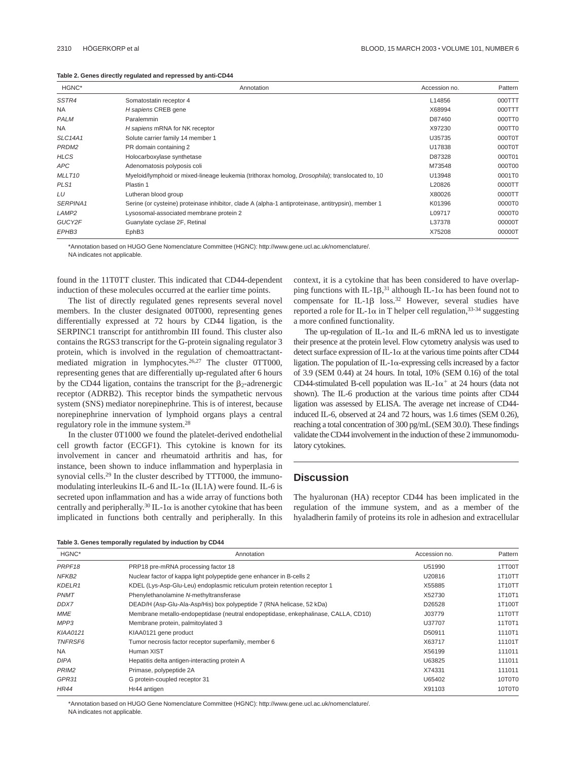| Table 2. Genes directly regulated and repressed by anti-CD44 |  |  |  |  |  |  |
|--------------------------------------------------------------|--|--|--|--|--|--|
|--------------------------------------------------------------|--|--|--|--|--|--|

| HGNC*              | Annotation                                                                                         | Accession no. | Pattern |
|--------------------|----------------------------------------------------------------------------------------------------|---------------|---------|
| SSTR4              | Somatostatin receptor 4                                                                            | L14856        | 000TTT  |
| NA.                | H sapiens CREB gene                                                                                | X68994        | 000TTT  |
| <b>PALM</b>        | Paralemmin                                                                                         | D87460        | 000TT0  |
| NA.                | H sapiens mRNA for NK receptor                                                                     | X97230        | 000TT0  |
| <b>SLC14A1</b>     | Solute carrier family 14 member 1                                                                  | U35735        | 000T0T  |
| PRDM <sub>2</sub>  | PR domain containing 2                                                                             | U17838        | 000T0T  |
| <b>HLCS</b>        | Holocarboxylase synthetase                                                                         | D87328        | 000T01  |
| <b>APC</b>         | Adenomatosis polyposis coli                                                                        | M73548        | 000T00  |
| MLLT <sub>10</sub> | Myeloid/lymphoid or mixed-lineage leukemia (trithorax homolog, Drosophila); translocated to, 10    | U13948        | 0001T0  |
| PLS <sub>1</sub>   | Plastin 1                                                                                          | L20826        | 0000TT  |
| LU                 | Lutheran blood group                                                                               | X80026        | 0000TT  |
| SERPINA1           | Serine (or cysteine) proteinase inhibitor, clade A (alpha-1 antiproteinase, antitrypsin), member 1 | K01396        | 0000T0  |
| LAMP <sub>2</sub>  | Lysosomal-associated membrane protein 2                                                            | L09717        | 0000T0  |
| GUCY2F             | Guanylate cyclase 2F, Retinal                                                                      | L37378        | 00000T  |
| EPHB <sub>3</sub>  | EphB3                                                                                              | X75208        | 00000T  |

\*Annotation based on HUGO Gene Nomenclature Committee (HGNC): http://www.gene.ucl.ac.uk/nomenclature/.

NA indicates not applicable.

found in the 11T0TT cluster. This indicated that CD44-dependent induction of these molecules occurred at the earlier time points.

The list of directly regulated genes represents several novel members. In the cluster designated 00T000, representing genes differentially expressed at 72 hours by CD44 ligation, is the SERPINC1 transcript for antithrombin III found. This cluster also contains the RGS3 transcript for the G-protein signaling regulator 3 protein, which is involved in the regulation of chemoattractantmediated migration in lymphocytes.26,27 The cluster 0TT000, representing genes that are differentially up-regulated after 6 hours by the CD44 ligation, contains the transcript for the  $\beta_2$ -adrenergic receptor (ADRB2). This receptor binds the sympathetic nervous system (SNS) mediator norepinephrine. This is of interest, because norepinephrine innervation of lymphoid organs plays a central regulatory role in the immune system.28

In the cluster 0T1000 we found the platelet-derived endothelial cell growth factor (ECGF1). This cytokine is known for its involvement in cancer and rheumatoid arthritis and has, for instance, been shown to induce inflammation and hyperplasia in synovial cells.<sup>29</sup> In the cluster described by TTT000, the immunomodulating interleukins IL-6 and IL-1 $\alpha$  (IL1A) were found. IL-6 is secreted upon inflammation and has a wide array of functions both centrally and peripherally.<sup>30</sup> IL-1 $\alpha$  is another cytokine that has been implicated in functions both centrally and peripherally. In this context, it is a cytokine that has been considered to have overlapping functions with IL-1 $\beta$ ,<sup>31</sup> although IL-1 $\alpha$  has been found not to compensate for IL-1 $\beta$  loss.<sup>32</sup> However, several studies have reported a role for IL-1 $\alpha$  in T helper cell regulation, 33-34 suggesting a more confined functionality.

The up-regulation of IL-1 $\alpha$  and IL-6 mRNA led us to investigate their presence at the protein level. Flow cytometry analysis was used to detect surface expression of IL-1 $\alpha$  at the various time points after CD44 ligation. The population of IL-1 $\alpha$ -expressing cells increased by a factor of 3.9 (SEM 0.44) at 24 hours. In total, 10% (SEM 0.16) of the total CD44-stimulated B-cell population was IL-1 $\alpha^+$  at 24 hours (data not shown). The IL-6 production at the various time points after CD44 ligation was assessed by ELISA. The average net increase of CD44 induced IL-6, observed at 24 and 72 hours, was 1.6 times (SEM 0.26), reaching a total concentration of 300 pg/mL (SEM 30.0). These findings validate the CD44 involvement in the induction of these 2 immunomodulatory cytokines.

# **Discussion**

The hyaluronan (HA) receptor CD44 has been implicated in the regulation of the immune system, and as a member of the hyaladherin family of proteins its role in adhesion and extracellular

**Table 3. Genes temporally regulated by induction by CD44**

| HGNC*              | Annotation                                                                         | Accession no. | Pattern |
|--------------------|------------------------------------------------------------------------------------|---------------|---------|
| PRPF <sub>18</sub> | PRP18 pre-mRNA processing factor 18                                                | U51990        | 1TT00T  |
| NFKB2              | Nuclear factor of kappa light polypeptide gene enhancer in B-cells 2               | U20816        | 1T10TT  |
| KDELR1             | KDEL (Lys-Asp-Glu-Leu) endoplasmic reticulum protein retention receptor 1          | X55885        | 1T10TT  |
| <b>PNMT</b>        | Phenylethanolamine N-methyltransferase                                             | X52730        | 1T10T1  |
| DDX7               | DEAD/H (Asp-Glu-Ala-Asp/His) box polypeptide 7 (RNA helicase, 52 kDa)              | D26528        | 1T100T  |
| <b>MME</b>         | Membrane metallo-endopeptidase (neutral endopeptidase, enkephalinase, CALLA, CD10) | J03779        | 11TOTT  |
| MPP3               | Membrane protein, palmitoylated 3                                                  | U37707        | 11T0T1  |
| <b>KIAA0121</b>    | KIAA0121 gene product                                                              | D50911        | 1110T1  |
| <b>TNFRSF6</b>     | Tumor necrosis factor receptor superfamily, member 6                               | X63717        | 11101T  |
| <b>NA</b>          | Human XIST                                                                         | X56199        | 111011  |
| <b>DIPA</b>        | Hepatitis delta antigen-interacting protein A                                      | U63825        | 111011  |
| PRIM <sub>2</sub>  | Primase, polypeptide 2A                                                            | X74331        | 111011  |
| GPR31              | G protein-coupled receptor 31                                                      | U65402        | 10T0T0  |
| <b>HR44</b>        | Hr44 antigen                                                                       | X91103        | 10T0T0  |

\*Annotation based on HUGO Gene Nomenclature Committee (HGNC): http://www.gene.ucl.ac.uk/nomenclature/. NA indicates not applicable.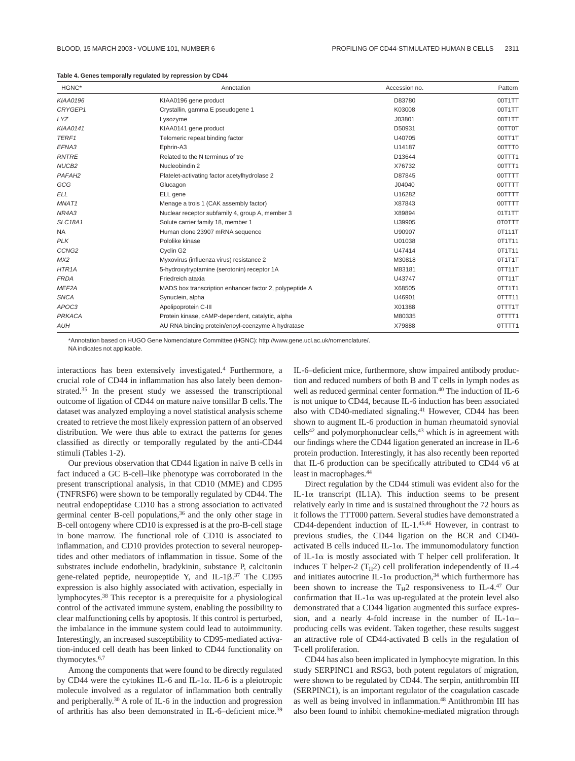| Table 4. Genes temporally regulated by repression by CD44 |  |  |  |  |  |
|-----------------------------------------------------------|--|--|--|--|--|
|-----------------------------------------------------------|--|--|--|--|--|

| HGNC*              | Annotation                                              | Accession no. | Pattern |
|--------------------|---------------------------------------------------------|---------------|---------|
| <b>KIAA0196</b>    | KIAA0196 gene product                                   | D83780        | 00T1TT  |
| CRYGEP1            | Crystallin, gamma E pseudogene 1                        | K03008        | 00T1TT  |
| <b>LYZ</b>         | Lysozyme                                                | J03801        | 00T1TT  |
| <b>KIAA0141</b>    | KIAA0141 gene product                                   | D50931        | 00TT0T  |
| TERF1              | Telomeric repeat binding factor                         | U40705        | 00TT1T  |
| EFNA3              | Ephrin-A3                                               | U14187        | 00TTT0  |
| <b>RNTRE</b>       | Related to the N terminus of tre                        | D13644        | 00TTT1  |
| NUCB <sub>2</sub>  | Nucleobindin 2                                          | X76732        | 00TTT1  |
| PAFAH <sub>2</sub> | Platelet-activating factor acetylhydrolase 2            | D87845        | 00TTTT  |
| GCG                | Glucagon                                                | J04040        | 00TTTT  |
| <b>ELL</b>         | ELL gene                                                | U16282        | 00TTTT  |
| MNAT1              | Menage a trois 1 (CAK assembly factor)                  | X87843        | 00TTTT  |
| NR4A3              | Nuclear receptor subfamily 4, group A, member 3         | X89894        | 01T1TT  |
| <b>SLC18A1</b>     | Solute carrier family 18, member 1                      | U39905        | 0T0TTT  |
| NA.                | Human clone 23907 mRNA sequence                         | U90907        | 0T111T  |
| <b>PLK</b>         | Pololike kinase                                         | U01038        | 0T1T11  |
| CCNG <sub>2</sub>  | Cyclin G2                                               | U47414        | 0T1T11  |
| MX2                | Myxovirus (influenza virus) resistance 2                | M30818        | OT1T1T  |
| HTR <sub>1</sub> A | 5-hydroxytryptamine (serotonin) receptor 1A             | M83181        | OTT11T  |
| <b>FRDA</b>        | Friedreich ataxia                                       | U43747        | 0TT11T  |
| MEF <sub>2</sub> A | MADS box transcription enhancer factor 2, polypeptide A | X68505        | 0TT1T1  |
| <b>SNCA</b>        | Synuclein, alpha                                        | U46901        | 0TTT11  |
| APOC3              | Apolipoprotein C-III                                    | X01388        | 0TTT1T  |
| PRKACA             | Protein kinase, cAMP-dependent, catalytic, alpha        | M80335        | 0TTTT1  |
| <b>AUH</b>         | AU RNA binding protein/enoyl-coenzyme A hydratase       | X79888        | 0TTTT1  |

\*Annotation based on HUGO Gene Nomenclature Committee (HGNC): http://www.gene.ucl.ac.uk/nomenclature/. NA indicates not applicable.

interactions has been extensively investigated.4 Furthermore, a crucial role of CD44 in inflammation has also lately been demonstrated.<sup>35</sup> In the present study we assessed the transcriptional outcome of ligation of CD44 on mature naive tonsillar B cells. The dataset was analyzed employing a novel statistical analysis scheme created to retrieve the most likely expression pattern of an observed distribution. We were thus able to extract the patterns for genes classified as directly or temporally regulated by the anti-CD44 stimuli (Tables 1-2).

Our previous observation that CD44 ligation in naive B cells in fact induced a GC B-cell–like phenotype was corroborated in the present transcriptional analysis, in that CD10 (MME) and CD95 (TNFRSF6) were shown to be temporally regulated by CD44. The neutral endopeptidase CD10 has a strong association to activated germinal center B-cell populations,<sup>36</sup> and the only other stage in B-cell ontogeny where CD10 is expressed is at the pro-B-cell stage in bone marrow. The functional role of CD10 is associated to inflammation, and CD10 provides protection to several neuropeptides and other mediators of inflammation in tissue. Some of the substrates include endothelin, bradykinin, substance P, calcitonin gene-related peptide, neuropeptide Y, and IL-1 $\beta$ .<sup>37</sup> The CD95 expression is also highly associated with activation, especially in lymphocytes.38 This receptor is a prerequisite for a physiological control of the activated immune system, enabling the possibility to clear malfunctioning cells by apoptosis. If this control is perturbed, the imbalance in the immune system could lead to autoimmunity. Interestingly, an increased susceptibility to CD95-mediated activation-induced cell death has been linked to CD44 functionality on thymocytes.<sup>6,7</sup>

Among the components that were found to be directly regulated by CD44 were the cytokines IL-6 and IL-1 $\alpha$ . IL-6 is a pleiotropic molecule involved as a regulator of inflammation both centrally and peripherally.30 A role of IL-6 in the induction and progression of arthritis has also been demonstrated in IL-6–deficient mice.39 IL-6–deficient mice, furthermore, show impaired antibody production and reduced numbers of both B and T cells in lymph nodes as well as reduced germinal center formation.<sup>40</sup> The induction of IL-6 is not unique to CD44, because IL-6 induction has been associated also with CD40-mediated signaling.<sup>41</sup> However, CD44 has been shown to augment IL-6 production in human rheumatoid synovial  $cells<sup>42</sup>$  and polymorphonuclear cells,<sup>43</sup> which is in agreement with our findings where the CD44 ligation generated an increase in IL-6 protein production. Interestingly, it has also recently been reported that IL-6 production can be specifically attributed to CD44 v6 at least in macrophages.44

Direct regulation by the CD44 stimuli was evident also for the IL-1 $\alpha$  transcript (IL1A). This induction seems to be present relatively early in time and is sustained throughout the 72 hours as it follows the TTT000 pattern. Several studies have demonstrated a CD44-dependent induction of IL-1.45,46 However, in contrast to previous studies, the CD44 ligation on the BCR and CD40 activated B cells induced IL- $1\alpha$ . The immunomodulatory function of IL-1 $\alpha$  is mostly associated with T helper cell proliferation. It induces T helper-2 ( $T_H2$ ) cell proliferation independently of IL-4 and initiates autocrine IL-1 $\alpha$  production,<sup>34</sup> which furthermore has been shown to increase the  $T_H2$  responsiveness to IL-4.<sup>47</sup> Our confirmation that IL-1 $\alpha$  was up-regulated at the protein level also demonstrated that a CD44 ligation augmented this surface expression, and a nearly 4-fold increase in the number of IL-1 $\alpha$ producing cells was evident. Taken together, these results suggest an attractive role of CD44-activated B cells in the regulation of T-cell proliferation.

CD44 has also been implicated in lymphocyte migration. In this study SERPINC1 and RSG3, both potent regulators of migration, were shown to be regulated by CD44. The serpin, antithrombin III (SERPINC1), is an important regulator of the coagulation cascade as well as being involved in inflammation.<sup>48</sup> Antithrombin III has also been found to inhibit chemokine-mediated migration through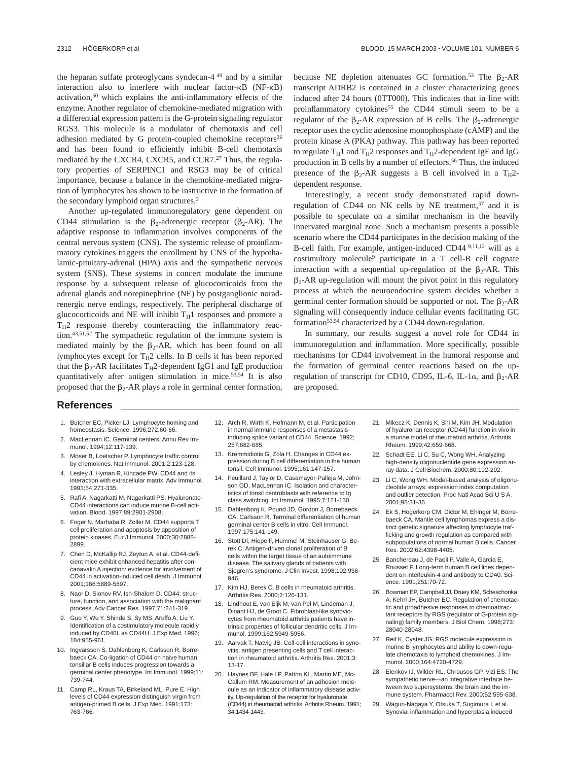the heparan sulfate proteoglycans syndecan-4 <sup>49</sup> and by a similar interaction also to interfere with nuclear factor- $\kappa$ B (NF- $\kappa$ B) activation,50 which explains the anti-inflammatory effects of the enzyme. Another regulator of chemokine-mediated migration with a differential expression pattern is the G-protein signaling regulator RGS3. This molecule is a modulator of chemotaxis and cell adhesion mediated by G protein-coupled chemokine receptors $26$ and has been found to efficiently inhibit B-cell chemotaxis mediated by the CXCR4, CXCR5, and CCR7.27 Thus, the regulatory properties of SERPINC1 and RSG3 may be of critical importance, because a balance in the chemokine-mediated migration of lymphocytes has shown to be instructive in the formation of the secondary lymphoid organ structures.3

Another up-regulated immunoregulatory gene dependent on CD44 stimulation is the  $\beta_2$ -adrenergic receptor ( $\beta_2$ -AR). The adaptive response to inflammation involves components of the central nervous system (CNS). The systemic release of proinflammatory cytokines triggers the enrollment by CNS of the hypothalamic-pituitary-adrenal (HPA) axis and the sympathetic nervous system (SNS). These systems in concert modulate the immune response by a subsequent release of glucocorticoids from the adrenal glands and norepinephrine (NE) by postganglionic noradrenergic nerve endings, respectively. The peripheral discharge of glucocorticoids and NE will inhibit  $T_H1$  responses and promote a  $T_H2$  response thereby counteracting the inflammatory reaction.43,51,52 The sympathetic regulation of the immune system is mediated mainly by the  $\beta_2$ -AR, which has been found on all lymphocytes except for  $T_H2$  cells. In B cells it has been reported that the  $\beta_2$ -AR facilitates T<sub>H</sub>2-dependent IgG1 and IgE production quantitatively after antigen stimulation in mice.53,54 It is also proposed that the  $\beta_2$ -AR plays a role in germinal center formation, because NE depletion attenuates GC formation.<sup>53</sup> The  $\beta$ <sub>2</sub>-AR transcript ADRB2 is contained in a cluster characterizing genes induced after 24 hours (0TT000). This indicates that in line with proinflammatory cytokines<sup>55</sup> the CD44 stimuli seem to be a regulator of the  $\beta_2$ -AR expression of B cells. The  $\beta_2$ -adrenergic receptor uses the cyclic adenosine monophosphate (cAMP) and the protein kinase A (PKA) pathway. This pathway has been reported to regulate  $T_H1$  and  $T_H2$  responses and  $T_H2$ -dependent IgE and IgG production in B cells by a number of effectors.<sup>56</sup> Thus, the induced presence of the  $\beta_2$ -AR suggests a B cell involved in a T<sub>H</sub>2dependent response.

Interestingly, a recent study demonstrated rapid downregulation of CD44 on NK cells by NE treatment,<sup>57</sup> and it is possible to speculate on a similar mechanism in the heavily innervated marginal zone. Such a mechanism presents a possible scenario where the CD44 participates in the decision making of the B-cell faith. For example, antigen-induced CD44 9,11,12 will as a costimultory molecule9 participate in a T cell-B cell cognate interaction with a sequential up-regulation of the  $\beta_2$ -AR. This  $\beta_2$ -AR up-regulation will mount the pivot point in this regulatory process at which the neuroendocrine system decides whether a germinal center formation should be supported or not. The  $\beta_2$ -AR signaling will consequently induce cellular events facilitating GC formation53,54 characterized by a CD44 down-regulation.

In summary, our results suggest a novel role for CD44 in immunoregulation and inflammation. More specifically, possible mechanisms for CD44 involvement in the humoral response and the formation of germinal center reactions based on the upregulation of transcript for CD10, CD95, IL-6, IL-1 $\alpha$ , and  $\beta_2$ -AR are proposed.

### **References**

- 1. Butcher EC, Picker LJ. Lymphocyte homing and homeostasis. Science. 1996;272:60-66.
- 2. MacLennan IC. Germinal centers. Annu Rev Immunol. 1994;12:117-139.
- 3. Moser B, Loetscher P. Lymphocyte traffic control by chemokines. Nat Immunol. 2001;2:123-128.
- 4. Lesley J, Hyman R, Kincade PW. CD44 and its interaction with extracellular matrix. Adv Immunol. 1993;54:271-335.
- 5. Rafi A, Nagarkatti M, Nagarkatti PS. Hyaluronate-CD44 interactions can induce murine B-cell activation. Blood. 1997;89:2901-2908.
- 6. Foger N, Marhaba R, Zoller M. CD44 supports T cell proliferation and apoptosis by apposition of protein kinases. Eur J Immunol. 2000;30:2888- 2899.
- 7. Chen D, McKallip RJ, Zeytun A, et al. CD44-deficient mice exhibit enhanced hepatitis after concanavalin A injection: evidence for involvement of CD44 in activation-induced cell death. J Immunol. 2001;166:5889-5897.
- 8. Naor D, Sionov RV, Ish-Shalom D. CD44: structure, function, and association with the malignant process. Adv Cancer Res. 1997;71:241-319.
- 9. Guo Y, Wu Y, Shinde S, Sy MS, Aruffo A, Liu Y. Identification of a costimulatory molecule rapidly induced by CD40L as CD44H. J Exp Med. 1996; 184:955-961.
- 10. Ingvarsson S, Dahlenborg K, Carlsson R, Borrebaeck CA. Co-ligation of CD44 on naive human tonsillar B cells induces progression towards a germinal center phenotype. Int Immunol. 1999;11: 739-744.
- 11. Camp RL, Kraus TA, Birkeland ML, Pure E. High levels of CD44 expression distinguish virgin from antigen-primed B cells. J Exp Med. 1991;173: 763-766.
- 12. Arch R, Wirth K, Hofmann M, et al. Participation in normal immune responses of a metastasisinducing splice variant of CD44. Science. 1992; 257:682-685.
- 13. Kremmidiotis G, Zola H. Changes in CD44 expression during B cell differentiation in the human tonsil. Cell Immunol. 1995;161:147-157.
- 14. Feuillard J, Taylor D, Casamayor-Palleja M, Johnson GD, MacLennan IC. Isolation and characteristics of tonsil centroblasts with reference to Ig class switching. Int Immunol. 1995;7:121-130.
- 15. Dahlenborg K, Pound JD, Gordon J, Borrebaeck CA, Carlsson R. Terminal differentiation of human germinal center B cells in vitro. Cell Immunol. 1997;175:141-149.
- 16. Stott DI, Hiepe F, Hummel M, Steinhauser G, Berek C. Antigen-driven clonal proliferation of B cells within the target tissue of an autoimmune disease. The salivary glands of patients with Sjogren's syndrome. J Clin Invest. 1998;102:938- 946.
- 17. Kim HJ, Berek C. B cells in rheumatoid arthritis. Arthritis Res. 2000;2:126-131.
- 18. Lindhout E, van Eijk M, van Pel M, Lindeman J, Dinant HJ, de Groot C. Fibroblast-like synoviocytes from rheumatoid arthritis patients have intrinsic properties of follicular dendritic cells. J Immunol. 1999;162:5949-5956.
- 19. Aarvak T, Natvig JB. Cell-cell interactions in synovitis: antigen presenting cells and T cell interaction in rheumatoid arthritis. Arthritis Res. 2001;3: 13-17.
- 20. Haynes BF, Hale LP, Patton KL, Martin ME, Mc-Callum RM. Measurement of an adhesion molecule as an indicator of inflammatory disease activity. Up-regulation of the receptor for hyaluronate (CD44) in rheumatoid arthritis. Arthritis Rheum. 1991; 34:1434-1443.
- 21. Mikecz K, Dennis K, Shi M, Kim JH. Modulation of hyaluronan receptor (CD44) function in vivo in a murine model of rheumatoid arthritis. Arthritis Rheum. 1999;42:659-668.
- 22. Schadt EE, Li C, Su C, Wong WH. Analyzing high-density oligonucleotide gene expression array data. J Cell Biochem. 2000;80:192-202.
- 23. Li C, Wong WH. Model-based analysis of oligonucleotide arrays: expression index computation and outlier detection. Proc Natl Acad Sci U S A. 2001;98:31-36.
- 24. Ek S, Hogerkorp CM, Dictor M, Ehinger M, Borrebaeck CA. Mantle cell lymphomas express a distinct genetic signature affecting lymphocyte trafficking and growth regulation as compared with subpopulations of normal human B cells. Cancer Res. 2002;62:4398-4405.
- 25. Banchereau J, de Paoli P, Valle A, Garcia E, Rousset F. Long-term human B cell lines dependent on interleukin-4 and antibody to CD40. Science. 1991;251:70-72.
- 26. Bowman EP, Campbell JJ, Druey KM, Scheschonka A, Kehrl JH, Butcher EC. Regulation of chemotactic and proadhesive responses to chemoattractant receptors by RGS (regulator of G-protein signaling) family members. J Biol Chem. 1998;273: 28040-28048.
- 27. Reif K, Cyster JG. RGS molecule expression in murine B lymphocytes and ability to down-regulate chemotaxis to lymphoid chemokines. J Immunol. 2000;164:4720-4729.
- 28. Elenkov IJ, Wilder RL, Chrousos GP, Vizi ES. The sympathetic nerve—an integrative interface between two supersystems: the brain and the immune system. Pharmacol Rev. 2000;52:595-638.
- 29. Waguri-Nagaya Y, Otsuka T, Sugimura I, et al. Synovial inflammation and hyperplasia induced